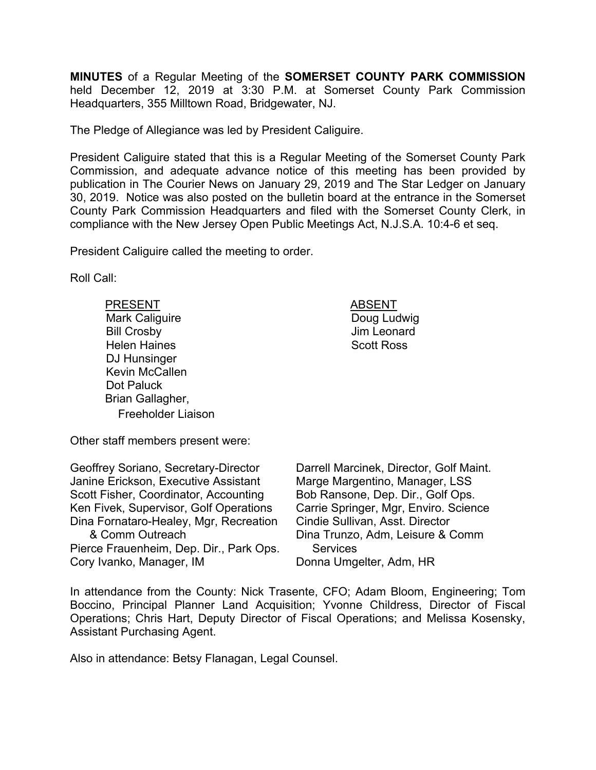**MINUTES** of a Regular Meeting of the **SOMERSET COUNTY PARK COMMISSION** held December 12, 2019 at 3:30 P.M. at Somerset County Park Commission Headquarters, 355 Milltown Road, Bridgewater, NJ.

The Pledge of Allegiance was led by President Caliguire.

President Caliguire stated that this is a Regular Meeting of the Somerset County Park Commission, and adequate advance notice of this meeting has been provided by publication in The Courier News on January 29, 2019 and The Star Ledger on January 30, 2019. Notice was also posted on the bulletin board at the entrance in the Somerset County Park Commission Headquarters and filed with the Somerset County Clerk, in compliance with the New Jersey Open Public Meetings Act, N.J.S.A. 10:4-6 et seq.

President Caliguire called the meeting to order.

Roll Call:

PRESENT ABSENT Mark Caliguire Bill Crosby Helen Haines DJ Hunsinger Kevin McCallen Dot Paluck Brian Gallagher, Freeholder Liaison

 Doug Ludwig Jim Leonard Scott Ross

Other staff members present were:

Geoffrey Soriano, Secretary-Director Janine Erickson, Executive Assistant Scott Fisher, Coordinator, Accounting Ken Fivek, Supervisor, Golf Operations Dina Fornataro-Healey, Mgr, Recreation & Comm Outreach Pierce Frauenheim, Dep. Dir., Park Ops. Cory Ivanko, Manager, IM

Darrell Marcinek, Director, Golf Maint. Marge Margentino, Manager, LSS Bob Ransone, Dep. Dir., Golf Ops. Carrie Springer, Mgr, Enviro. Science Cindie Sullivan, Asst. Director Dina Trunzo, Adm, Leisure & Comm **Services** Donna Umgelter, Adm, HR

In attendance from the County: Nick Trasente, CFO; Adam Bloom, Engineering; Tom Boccino, Principal Planner Land Acquisition; Yvonne Childress, Director of Fiscal Operations; Chris Hart, Deputy Director of Fiscal Operations; and Melissa Kosensky, Assistant Purchasing Agent.

Also in attendance: Betsy Flanagan, Legal Counsel.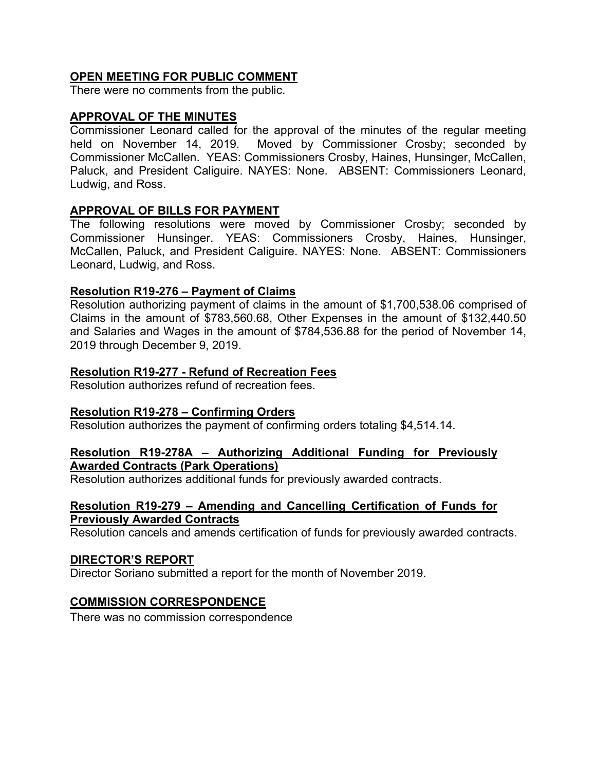# **OPEN MEETING FOR PUBLIC COMMENT**

There were no comments from the public.

#### **APPROVAL OF THE MINUTES**

Commissioner Leonard called for the approval of the minutes of the regular meeting held on November 14, 2019. Moved by Commissioner Crosby; seconded by Commissioner McCallen. YEAS: Commissioners Crosby, Haines, Hunsinger, McCallen, Paluck, and President Caliguire. NAYES: None. ABSENT: Commissioners Leonard, Ludwig, and Ross.

### **APPROVAL OF BILLS FOR PAYMENT**

The following resolutions were moved by Commissioner Crosby; seconded by Commissioner Hunsinger. YEAS: Commissioners Crosby, Haines, Hunsinger, McCallen, Paluck, and President Caliguire. NAYES: None. ABSENT: Commissioners Leonard, Ludwig, and Ross.

### **Resolution R19-276 – Payment of Claims**

Resolution authorizing payment of claims in the amount of \$1,700,538.06 comprised of Claims in the amount of \$783,560.68, Other Expenses in the amount of \$132,440.50 and Salaries and Wages in the amount of \$784,536.88 for the period of November 14, 2019 through December 9, 2019.

#### **Resolution R19-277 - Refund of Recreation Fees**

Resolution authorizes refund of recreation fees.

#### **Resolution R19-278 – Confirming Orders**

Resolution authorizes the payment of confirming orders totaling \$4,514.14.

#### **Resolution R19-278A – Authorizing Additional Funding for Previously Awarded Contracts (Park Operations)**

Resolution authorizes additional funds for previously awarded contracts.

#### **Resolution R19-279 – Amending and Cancelling Certification of Funds for Previously Awarded Contracts**

Resolution cancels and amends certification of funds for previously awarded contracts.

#### **DIRECTOR'S REPORT**

Director Soriano submitted a report for the month of November 2019.

#### **COMMISSION CORRESPONDENCE**

There was no commission correspondence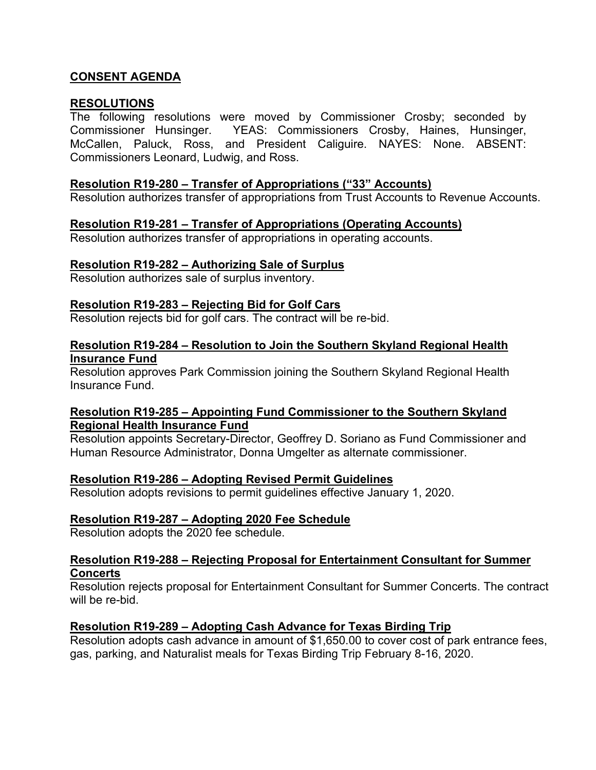# **CONSENT AGENDA**

#### **RESOLUTIONS**

The following resolutions were moved by Commissioner Crosby; seconded by Commissioner Hunsinger. YEAS: Commissioners Crosby, Haines, Hunsinger, McCallen, Paluck, Ross, and President Caliguire. NAYES: None. ABSENT: Commissioners Leonard, Ludwig, and Ross.

#### **Resolution R19-280 – Transfer of Appropriations ("33" Accounts)**

Resolution authorizes transfer of appropriations from Trust Accounts to Revenue Accounts.

# **Resolution R19-281 – Transfer of Appropriations (Operating Accounts)**

Resolution authorizes transfer of appropriations in operating accounts.

### **Resolution R19-282 – Authorizing Sale of Surplus**

Resolution authorizes sale of surplus inventory.

### **Resolution R19-283 – Rejecting Bid for Golf Cars**

Resolution rejects bid for golf cars. The contract will be re-bid.

#### **Resolution R19-284 – Resolution to Join the Southern Skyland Regional Health Insurance Fund**

Resolution approves Park Commission joining the Southern Skyland Regional Health Insurance Fund.

### **Resolution R19-285 – Appointing Fund Commissioner to the Southern Skyland Regional Health Insurance Fund**

Resolution appoints Secretary-Director, Geoffrey D. Soriano as Fund Commissioner and Human Resource Administrator, Donna Umgelter as alternate commissioner.

### **Resolution R19-286 – Adopting Revised Permit Guidelines**

Resolution adopts revisions to permit guidelines effective January 1, 2020.

### **Resolution R19-287 – Adopting 2020 Fee Schedule**

Resolution adopts the 2020 fee schedule.

### **Resolution R19-288 – Rejecting Proposal for Entertainment Consultant for Summer Concerts**

Resolution rejects proposal for Entertainment Consultant for Summer Concerts. The contract will be re-bid.

### **Resolution R19-289 – Adopting Cash Advance for Texas Birding Trip**

Resolution adopts cash advance in amount of \$1,650.00 to cover cost of park entrance fees, gas, parking, and Naturalist meals for Texas Birding Trip February 8-16, 2020.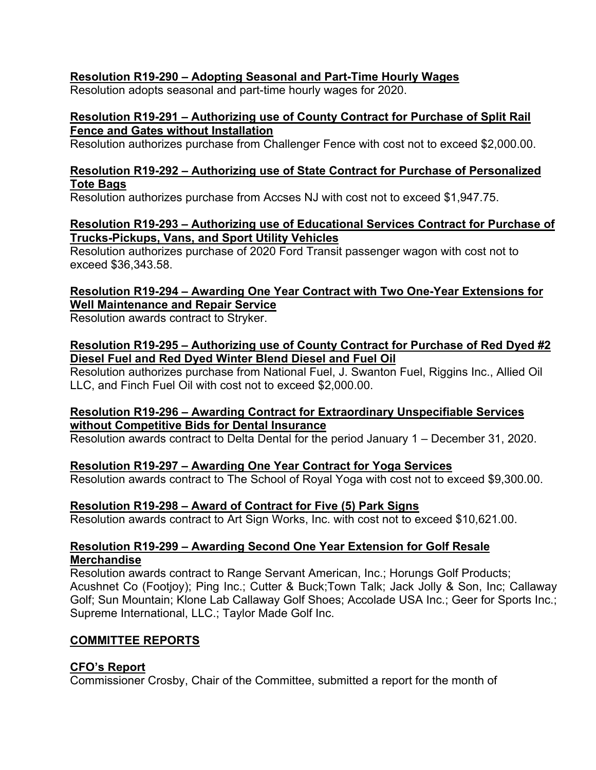# **Resolution R19-290 – Adopting Seasonal and Part-Time Hourly Wages**

Resolution adopts seasonal and part-time hourly wages for 2020.

### **Resolution R19-291 – Authorizing use of County Contract for Purchase of Split Rail Fence and Gates without Installation**

Resolution authorizes purchase from Challenger Fence with cost not to exceed \$2,000.00.

# **Resolution R19-292 – Authorizing use of State Contract for Purchase of Personalized Tote Bags**

Resolution authorizes purchase from Accses NJ with cost not to exceed \$1,947.75.

### **Resolution R19-293 – Authorizing use of Educational Services Contract for Purchase of Trucks-Pickups, Vans, and Sport Utility Vehicles**

Resolution authorizes purchase of 2020 Ford Transit passenger wagon with cost not to exceed \$36,343.58.

# **Resolution R19-294 – Awarding One Year Contract with Two One-Year Extensions for Well Maintenance and Repair Service**

Resolution awards contract to Stryker.

#### **Resolution R19-295 – Authorizing use of County Contract for Purchase of Red Dyed #2 Diesel Fuel and Red Dyed Winter Blend Diesel and Fuel Oil**

Resolution authorizes purchase from National Fuel, J. Swanton Fuel, Riggins Inc., Allied Oil LLC, and Finch Fuel Oil with cost not to exceed \$2,000.00.

### **Resolution R19-296 – Awarding Contract for Extraordinary Unspecifiable Services without Competitive Bids for Dental Insurance**

Resolution awards contract to Delta Dental for the period January 1 – December 31, 2020.

### **Resolution R19-297 – Awarding One Year Contract for Yoga Services**

Resolution awards contract to The School of Royal Yoga with cost not to exceed \$9,300.00.

### **Resolution R19-298 – Award of Contract for Five (5) Park Signs**

Resolution awards contract to Art Sign Works, Inc. with cost not to exceed \$10,621.00.

#### **Resolution R19-299 – Awarding Second One Year Extension for Golf Resale Merchandise**

Resolution awards contract to Range Servant American, Inc.; Horungs Golf Products; Acushnet Co (Footjoy); Ping Inc.; Cutter & Buck;Town Talk; Jack Jolly & Son, Inc; Callaway Golf; Sun Mountain; Klone Lab Callaway Golf Shoes; Accolade USA Inc.; Geer for Sports Inc.; Supreme International, LLC.; Taylor Made Golf Inc.

### **COMMITTEE REPORTS**

# **CFO's Report**

Commissioner Crosby, Chair of the Committee, submitted a report for the month of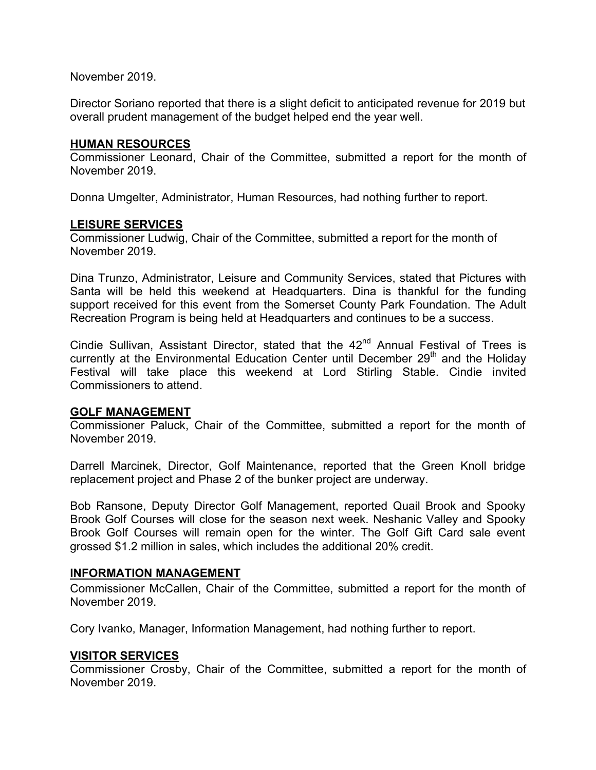November 2019.

Director Soriano reported that there is a slight deficit to anticipated revenue for 2019 but overall prudent management of the budget helped end the year well.

#### **HUMAN RESOURCES**

Commissioner Leonard, Chair of the Committee, submitted a report for the month of November 2019.

Donna Umgelter, Administrator, Human Resources, had nothing further to report.

#### **LEISURE SERVICES**

Commissioner Ludwig, Chair of the Committee, submitted a report for the month of November 2019.

Dina Trunzo, Administrator, Leisure and Community Services, stated that Pictures with Santa will be held this weekend at Headquarters. Dina is thankful for the funding support received for this event from the Somerset County Park Foundation. The Adult Recreation Program is being held at Headquarters and continues to be a success.

Cindie Sullivan, Assistant Director, stated that the  $42<sup>nd</sup>$  Annual Festival of Trees is currently at the Environmental Education Center until December  $29<sup>th</sup>$  and the Holiday Festival will take place this weekend at Lord Stirling Stable. Cindie invited Commissioners to attend.

### **GOLF MANAGEMENT**

Commissioner Paluck, Chair of the Committee, submitted a report for the month of November 2019.

Darrell Marcinek, Director, Golf Maintenance, reported that the Green Knoll bridge replacement project and Phase 2 of the bunker project are underway.

Bob Ransone, Deputy Director Golf Management, reported Quail Brook and Spooky Brook Golf Courses will close for the season next week. Neshanic Valley and Spooky Brook Golf Courses will remain open for the winter. The Golf Gift Card sale event grossed \$1.2 million in sales, which includes the additional 20% credit.

### **INFORMATION MANAGEMENT**

Commissioner McCallen, Chair of the Committee, submitted a report for the month of November 2019.

Cory Ivanko, Manager, Information Management, had nothing further to report.

#### **VISITOR SERVICES**

Commissioner Crosby, Chair of the Committee, submitted a report for the month of November 2019.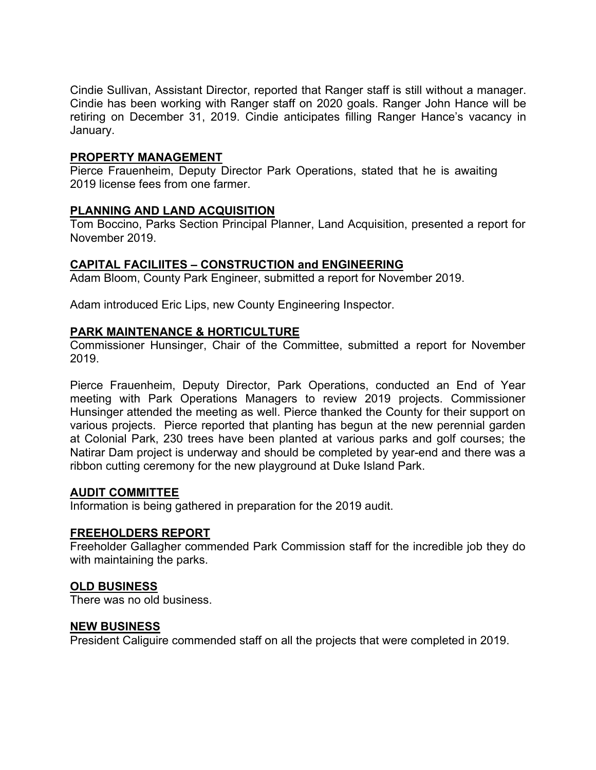Cindie Sullivan, Assistant Director, reported that Ranger staff is still without a manager. Cindie has been working with Ranger staff on 2020 goals. Ranger John Hance will be retiring on December 31, 2019. Cindie anticipates filling Ranger Hance's vacancy in January.

## **PROPERTY MANAGEMENT**

Pierce Frauenheim, Deputy Director Park Operations, stated that he is awaiting 2019 license fees from one farmer.

# **PLANNING AND LAND ACQUISITION**

Tom Boccino, Parks Section Principal Planner, Land Acquisition, presented a report for November 2019.

# **CAPITAL FACILIITES – CONSTRUCTION and ENGINEERING**

Adam Bloom, County Park Engineer, submitted a report for November 2019.

Adam introduced Eric Lips, new County Engineering Inspector.

### **PARK MAINTENANCE & HORTICULTURE**

Commissioner Hunsinger, Chair of the Committee, submitted a report for November 2019.

Pierce Frauenheim, Deputy Director, Park Operations, conducted an End of Year meeting with Park Operations Managers to review 2019 projects. Commissioner Hunsinger attended the meeting as well. Pierce thanked the County for their support on various projects. Pierce reported that planting has begun at the new perennial garden at Colonial Park, 230 trees have been planted at various parks and golf courses; the Natirar Dam project is underway and should be completed by year-end and there was a ribbon cutting ceremony for the new playground at Duke Island Park.

### **AUDIT COMMITTEE**

Information is being gathered in preparation for the 2019 audit.

### **FREEHOLDERS REPORT**

Freeholder Gallagher commended Park Commission staff for the incredible job they do with maintaining the parks.

### **OLD BUSINESS**

There was no old business.

### **NEW BUSINESS**

President Caliguire commended staff on all the projects that were completed in 2019.